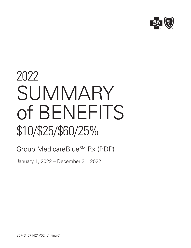

## 2022 **SUMMARY** of BENEFITS \$10/\$25/\$60/25%

## Group MedicareBlue<sup>SM</sup> Rx (PDP)

January 1, 2022 – December 31, 2022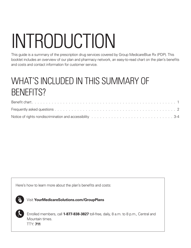# INTRODUCTION

This guide is a summary of the prescription drug services covered by Group MedicareBlue Rx (PDP). This booklet includes an overview of our plan and pharmacy network, an easy-to-read chart on the plan's benefits and costs and contact information for customer service.

## WHAT'S INCLUDED IN THIS SUMMARY OF BENEFITS?

| Notice of rights nondiscrimination and accessibility results and contact and contact and contact and accessibility results are all and contact and contact and contact and 3-4 |  |  |  |  |  |  |  |  |  |
|--------------------------------------------------------------------------------------------------------------------------------------------------------------------------------|--|--|--|--|--|--|--|--|--|

Here's how to learn more about the plan's benefits and costs:



Visit **YourMedicareSolutions.com/GroupPlans**



Enrolled members, call **1-877-838-3827** toll-free, daily, 8 a.m. to 8 p.m., Central and Mountain times. TTY: **711**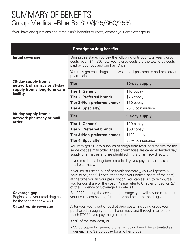## SUMMARY OF BENEFITS Group MedicareBlue Rx \$10/\$25/\$60/25%

If you have any questions about the plan's benefits or costs, contact your employer group.

| <b>Prescription drug benefits</b>                                                      |                                                                                                                                                                                                                                                                                                                                       |                 |  |  |  |  |  |  |  |
|----------------------------------------------------------------------------------------|---------------------------------------------------------------------------------------------------------------------------------------------------------------------------------------------------------------------------------------------------------------------------------------------------------------------------------------|-----------------|--|--|--|--|--|--|--|
| Initial coverage                                                                       | During this stage, you pay the following until your total yearly drug<br>costs reach \$4,430. Total yearly drug costs are the total drug costs<br>paid by both you and our Part D plan.                                                                                                                                               |                 |  |  |  |  |  |  |  |
|                                                                                        | You may get your drugs at network retail pharmacies and mail order<br>pharmacies.                                                                                                                                                                                                                                                     |                 |  |  |  |  |  |  |  |
| 30-day supply from a<br>network pharmacy or 31-day                                     | <b>Tier</b>                                                                                                                                                                                                                                                                                                                           | 30-day supply   |  |  |  |  |  |  |  |
| supply from a long-term care<br>facility                                               | <b>Tier 1 (Generic)</b>                                                                                                                                                                                                                                                                                                               | \$10 copay      |  |  |  |  |  |  |  |
|                                                                                        | <b>Tier 2 (Preferred brand)</b>                                                                                                                                                                                                                                                                                                       | $$25$ copay     |  |  |  |  |  |  |  |
|                                                                                        | <b>Tier 3 (Non-preferred brand)</b>                                                                                                                                                                                                                                                                                                   | \$60 copay      |  |  |  |  |  |  |  |
|                                                                                        | <b>Tier 4 (Specialty)</b>                                                                                                                                                                                                                                                                                                             | 25% coinsurance |  |  |  |  |  |  |  |
| 90-day supply from a<br>network pharmacy or mail                                       | <b>Tier</b>                                                                                                                                                                                                                                                                                                                           | 90-day supply   |  |  |  |  |  |  |  |
| order                                                                                  | <b>Tier 1 (Generic)</b>                                                                                                                                                                                                                                                                                                               | \$20 copay      |  |  |  |  |  |  |  |
|                                                                                        | <b>Tier 2 (Preferred brand)</b>                                                                                                                                                                                                                                                                                                       | $$50$ copay     |  |  |  |  |  |  |  |
|                                                                                        | <b>Tier 3 (Non-preferred brand)</b>                                                                                                                                                                                                                                                                                                   | $$120$ copay    |  |  |  |  |  |  |  |
|                                                                                        | <b>Tier 4 (Specialty)</b>                                                                                                                                                                                                                                                                                                             | 25% coinsurance |  |  |  |  |  |  |  |
|                                                                                        | You may get 90-day supplies of drugs from retail pharmacies for the<br>same cost as mail order. These pharmacies are called extended day<br>supply pharmacies and are identified in the pharmacy directory.                                                                                                                           |                 |  |  |  |  |  |  |  |
|                                                                                        | If you reside in a long-term care facility, you pay the same as at a<br>retail pharmacy.                                                                                                                                                                                                                                              |                 |  |  |  |  |  |  |  |
|                                                                                        | If you must use an out-of-network pharmacy, you will generally<br>have to pay the full cost (rather than your normal share of the cost)<br>at the time you fill your prescription. You can ask us to reimburse<br>you for our share of the cost. (Please refer to Chapter 5, Section 2.1<br>of the Evidence of Coverage for details.) |                 |  |  |  |  |  |  |  |
| <b>Coverage gap</b><br>Begins once your total drug costs<br>for the year reach \$4,430 | For 2022, during the coverage gap stage, you will pay no more than<br>your usual cost sharing for generic and brand-name drugs.                                                                                                                                                                                                       |                 |  |  |  |  |  |  |  |
| <b>Catastrophic coverage</b>                                                           | After your yearly out-of-pocket drug costs (including drugs you<br>purchased through your retail pharmacy and through mail order)<br>reach \$7,050, you pay the greater of:                                                                                                                                                           |                 |  |  |  |  |  |  |  |
|                                                                                        | • 5% of the total cost, or                                                                                                                                                                                                                                                                                                            |                 |  |  |  |  |  |  |  |
|                                                                                        | • \$3.95 copay for generic drugs (including brand drugs treated as<br>generic) and \$9.85 copay for all other drugs.                                                                                                                                                                                                                  |                 |  |  |  |  |  |  |  |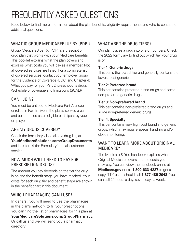## FREQUENTLY ASKED QUESTIONS

Read below to find more information about the plan benefits, eligibility requirements and who to contact for additional questions.

#### WHAT IS GROUP MEDICAREBLUE RX (PDP)?

Group MedicareBlue Rx (PDP) is a prescription drug plan that works with your Medicare benefits. This booklet explains what the plan covers and explains what costs you will pay as a member. Not all covered services are listed. For a complete list of covered services, contact your employer group for the Evidence of Coverage (EOC) and Chapter 4: What you pay for your Part D prescriptions drugs (Schedule of coverage and limitations (SCAL)).

#### CAN I JOIN?

You must be entitled to Medicare Part A and/or enrolled in Part B, live in the plan's service area and be identified as an eligible participant by your employer.

#### ARE MY DRUGS COVERED?

Check the formulary, also called a drug list, at **YourMedicareSolutions.com/GroupDocuments** and look for "4-tier Formulary" or call customer service.

#### HOW MUCH WILL I NEED TO PAY FOR PRESCRIPTION DRUGS?

The amount you pay depends on the tier the drug is on and the benefit stage you have reached. Your costs for each drug tier and benefit stage are shown in the benefit chart in this document.

#### WHICH PHARMACIES CAN I USE?

In general, you will need to use the pharmacies in the plan's network to fill your prescriptions. You can find the list of pharmacies for this plan at **YourMedicareSolutions.com/GroupPharmacy**. Or call us and we will send you a pharmacy directory.

#### WHAT ARF THE DRUG TIFRS?

Our plan places a drug into one of four tiers. Check the 2022 formulary to find out which tier your drug is on.

#### **Tier 1: Generic drugs**

This tier is the lowest tier and generally contains the lowest cost generics.

#### **Tier 2: Preferred brand**

This tier contains preferred brand drugs and some non-preferred generic drugs.

#### **Tier 3: Non-preferred brand**

This tier contains non-preferred brand drugs and some non-preferred generic drugs.

#### **Tier 4: Specialty**

This tier contains very high cost brand and generic drugs, which may require special handling and/or close monitoring.

#### WANT TO LEARN MORE ABOUT ORIGINAL MEDICARE?

The Medicare & You handbook explains what Original Medicare covers and the costs you may pay. You can view the handbook online at **Medicare.gov** or call **1-800-633-4227** to get a copy. TTY users should call **1-877-486-2048**. You can call 24 hours a day, seven days a week.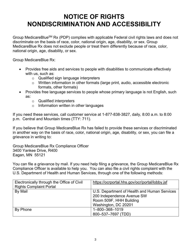### **NOTICE OF RIGHTS NONDISCRIMINATION AND ACCESSIBILITY**

Group MedicareBlue<sup>SM</sup> Rx (PDP) complies with applicable Federal civil rights laws and does not discriminate on the basis of race, color, national origin, age, disability, or sex. Group MedicareBlue Rx does not exclude people or treat them differently because of race, color, national origin, age, disability, or sex.

Group MedicareBlue Rx:

- Provides free aids and services to people with disabilities to communicate effectively with us, such as:
	- o Qualified sign language interpreters
	- o Written information in other formats (large print, audio, accessible electronic formats, other formats)
- Provides free language services to people whose primary language is not English, such as:
	- o Qualified interpreters
	- o Information written in other languages

If you need these services, call customer service at 1-877-838-3827, daily, 8:00 a.m. to 8:00 p.m. Central and Mountain times (TTY: 711).

If you believe that Group MedicareBlue Rx has failed to provide these services or discriminated in another way on the basis of race, color, national origin, age, disability, or sex, you can file a grievance in writing to:

Group MedicareBlue Rx Compliance Officer 3400 Yankee Drive, R400 Eagan, MN 55121

You can file a grievance by mail. If you need help filing a grievance, the Group MedicareBlue Rx Compliance Officer is available to help you. You can also file a civil rights complaint with the U.S. Department of Health and Human Services, through one of the following methods:

| Electronically through the Office of Civil | https://ocrportal.hhs.gov/ocr/portal/lobby.jsf |
|--------------------------------------------|------------------------------------------------|
| <b>Rights Complaint Portal</b>             |                                                |
| By Mail                                    | U.S. Department of Health and Human Services   |
|                                            | 200 Independence Avenue SW                     |
|                                            | Room 509F, HHH Building                        |
|                                            | Washington, DC 20201                           |
| By Phone                                   | 1-800-368-1019                                 |
|                                            | 800-537-7697 (TDD)                             |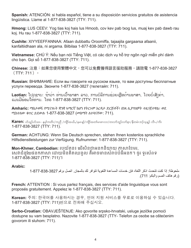**Spanish:** ATENCIÓN: si habla español, tiene a su disposición servicios gratuitos de asistencia lingüística. Llame al 1-877-838-3827 (TTY: 711).

**Hmong:** LUS CEEV: Yog tias koj hais lus Hmoob, cov kev pab txog lus, muaj kev pab dawb rau koj. Hu rau 1-877-838-3827 (TTY: 711).

**Cushite:** XIYYEEFFANNAA: Afaan dubbattu Oroomiffa, tajaajila gargaarsa afaanii, kanfaltiidhaan ala, ni argama. Bilbilaa 1-877-838-3827 (TTY: 711).

**Vietnamese:** CHÚ Ý: Nếu bạn nói Tiếng Việt, có các dịch vụ hỗ trợ ngôn ngữ miễn phí dành cho bạn. Gọi số 1-877-838-3827 (TTY: 711).

**Chinese:** 注意:如果您使用繁體中文,您可以免費獲得語言援助服務。請致電 1-877-838-3827 (TTY: 711)。

**Russian:** ВНИМАНИЕ: Если вы говорите на русском языке, то вам доступны бесплатные услуги перевода. Звоните 1-877-838-3827 (телетайп: 711).

**Laotian:** ໂປດຊາບ: ຖ້າວ່າ ທ່ານເວົ້າພາສາ ລາວ, ການບໍລິການຊ່ວຍເຫຼືອດ້ານພາສາ, ໂດຍບໍ່ເສັງຄ<sup>່</sup>າ, ແມ່ນມີພ້ອມໃຫ້ທ່ານ. ໂທຣ 1-877-838-3827 (TTY: 711).

**Amharic:** ማስታወሻ: የሚናገሩት ቋንቋ ኣማርኛ ከሆነ የትርጉም እርዳታ ድርጅቶች፣ በነጻ ሊያግዝዎት ተዘጋጀተዋል፡ ወደ ሚከተለው ቁጥር ይደውሉ 1-877-838-3827 (መስማት ለተሳናቸው: 711).

**Karen:** ဟ်သူဉ်ဟ်သး– နမ့္ပ်ကတိၤ/ကညီ /ကျိဉ်အယိႇ/နမၤန္)/ကျိဉ်အတ္ပါမၤစၢၤလ၊/တလၢာ်ဘူဉ်လျာ်စ္၊/နီတမံၤဘဉ်သူန္ဉာ လီၤ./ကိႏ 1-877-838-3827 (TTY: 711).

**German:** ACHTUNG: Wenn Sie Deutsch sprechen, stehen Ihnen kostenlos sprachliche Hilfsdienstleistungen zur Verfügung. Rufnummer: 1-877-838-3827 (TTY: 711).

**Mon-Khmer, Cambodian:** របយ័តន៖ េ�ើសិនជាអនកនិយាយ ភាសាែខមរ, សេវាជំនួយែជនកភាសា ដោយមិនគិតឈនួល គឺអាចមានសំរាប់បំរើអនក។ ចូរ ទូរស័ពទ 1-877-838-3827 (TTY: 711)។

#### **Arabic:**

ملحوظة: إذا كنت نتحدث اذكر اللغة، فإن خدمات المساعدة اللغوية تتوافر لك بالمجان. اتصل برقم 3827-838-77-1 (رقم هاتف الصم والبكم: 711).

**French:** ATTENTION : Si vous parlez français, des services d'aide linguistique vous sont proposés gratuitement. Appelez le 1-877-838-3827 (TTY: 711).

**Korean:** 주의: 한국어를 사용하시는 경우, 언어 지원 서비스를 무료로 이용하실 수 있습니다. 1-877-838-3827 (TTY: 711)번으로 전화해 주십시오.

**Serbo-Croatian:** OBAVJEŠTENJE: Ako govorite srpsko-hrvatski, usluge jezičke pomoći dostupne su vam besplatno. Nazovite 1-877-838-3827 (TTY- Telefon za osobe sa oštećenim govorom ili sluhom: 711).